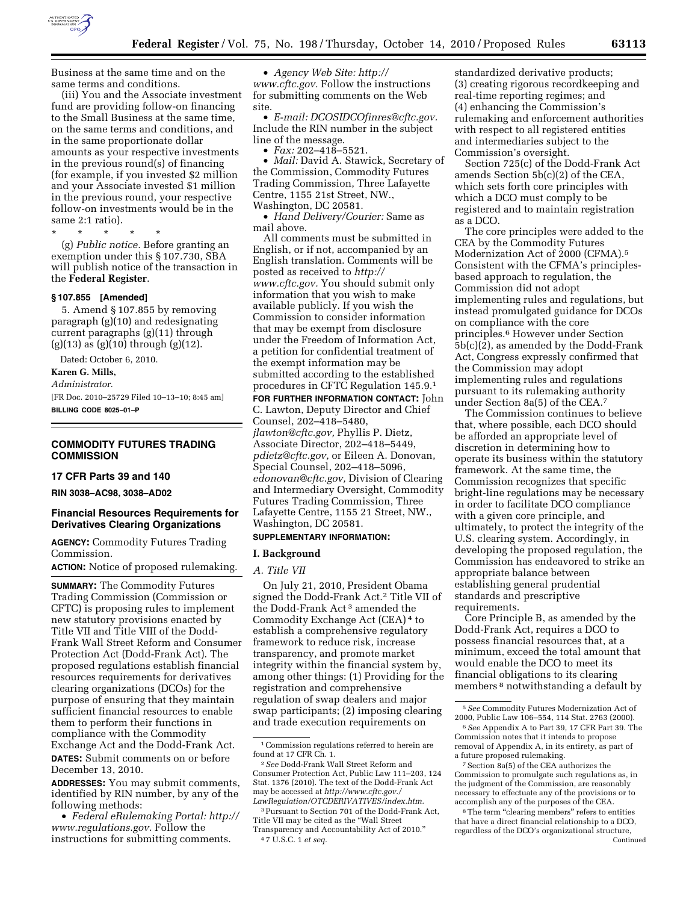

Business at the same time and on the same terms and conditions.

(iii) You and the Associate investment fund are providing follow-on financing to the Small Business at the same time, on the same terms and conditions, and in the same proportionate dollar amounts as your respective investments in the previous round(s) of financing (for example, if you invested \$2 million and your Associate invested \$1 million in the previous round, your respective follow-on investments would be in the same 2:1 ratio).

\* \* \* \* \*

(g) *Public notice.* Before granting an exemption under this § 107.730, SBA will publish notice of the transaction in the **Federal Register**.

#### **§ 107.855 [Amended]**

5. Amend § 107.855 by removing paragraph (g)(10) and redesignating current paragraphs (g)(11) through (g)(13) as (g)(10) through (g)(12).

Dated: October 6, 2010.

**Karen G. Mills,** 

*Administrator.* 

[FR Doc. 2010–25729 Filed 10–13–10; 8:45 am] **BILLING CODE 8025–01–P** 

### **COMMODITY FUTURES TRADING COMMISSION**

# **17 CFR Parts 39 and 140**

**RIN 3038–AC98, 3038–AD02** 

# **Financial Resources Requirements for Derivatives Clearing Organizations**

**AGENCY:** Commodity Futures Trading Commission.

**ACTION:** Notice of proposed rulemaking.

**SUMMARY:** The Commodity Futures Trading Commission (Commission or CFTC) is proposing rules to implement new statutory provisions enacted by Title VII and Title VIII of the Dodd-Frank Wall Street Reform and Consumer Protection Act (Dodd-Frank Act). The proposed regulations establish financial resources requirements for derivatives clearing organizations (DCOs) for the purpose of ensuring that they maintain sufficient financial resources to enable them to perform their functions in compliance with the Commodity Exchange Act and the Dodd-Frank Act. **DATES:** Submit comments on or before December 13, 2010.

**ADDRESSES:** You may submit comments, identified by RIN number, by any of the following methods:

• *Federal eRulemaking Portal: [http://](http://www.regulations.gov)  [www.regulations.gov.](http://www.regulations.gov)* Follow the instructions for submitting comments.

• *Agency Web Site: [http://](http://www.cftc.gov)  [www.cftc.gov.](http://www.cftc.gov)* Follow the instructions for submitting comments on the Web site.

• *E-mail: [DCOSIDCOfinres@cftc.gov.](mailto:DCOSIDCOfinres@cftc.gov)*  Include the RIN number in the subject line of the message.

• *Fax:* 202–418–5521.

• *Mail:* David A. Stawick, Secretary of the Commission, Commodity Futures Trading Commission, Three Lafayette Centre, 1155 21st Street, NW., Washington, DC 20581.

• *Hand Delivery/Courier:* Same as mail above.

All comments must be submitted in English, or if not, accompanied by an English translation. Comments will be posted as received to *[http://](http://www.cftc.gov) [www.cftc.gov.](http://www.cftc.gov)* You should submit only information that you wish to make available publicly. If you wish the Commission to consider information that may be exempt from disclosure under the Freedom of Information Act, a petition for confidential treatment of the exempt information may be submitted according to the established procedures in CFTC Regulation 145.9.1

**FOR FURTHER INFORMATION CONTACT:** John C. Lawton, Deputy Director and Chief Counsel, 202–418–5480, *[jlawton@cftc.gov,](mailto:jlawton@cftc.gov)* Phyllis P. Dietz, Associate Director, 202–418–5449, *[pdietz@cftc.gov,](mailto:pdietz@cftc.gov)* or Eileen A. Donovan, Special Counsel, 202–418–5096, *[edonovan@cftc.gov,](mailto:edonovan@cftc.gov)* Division of Clearing and Intermediary Oversight, Commodity Futures Trading Commission, Three Lafayette Centre, 1155 21 Street, NW., Washington, DC 20581.

# **SUPPLEMENTARY INFORMATION:**

## **I. Background**

#### *A. Title VII*

On July 21, 2010, President Obama signed the Dodd-Frank Act.2 Title VII of the Dodd-Frank Act 3 amended the Commodity Exchange Act (CEA) 4 to establish a comprehensive regulatory framework to reduce risk, increase transparency, and promote market integrity within the financial system by, among other things: (1) Providing for the registration and comprehensive regulation of swap dealers and major swap participants; (2) imposing clearing and trade execution requirements on

standardized derivative products; (3) creating rigorous recordkeeping and real-time reporting regimes; and (4) enhancing the Commission's rulemaking and enforcement authorities with respect to all registered entities and intermediaries subject to the Commission's oversight.

Section 725(c) of the Dodd-Frank Act amends Section 5b(c)(2) of the CEA, which sets forth core principles with which a DCO must comply to be registered and to maintain registration as a DCO.

The core principles were added to the CEA by the Commodity Futures Modernization Act of 2000 (CFMA).5 Consistent with the CFMA's principlesbased approach to regulation, the Commission did not adopt implementing rules and regulations, but instead promulgated guidance for DCOs on compliance with the core principles.6 However under Section 5b(c)(2), as amended by the Dodd-Frank Act, Congress expressly confirmed that the Commission may adopt implementing rules and regulations pursuant to its rulemaking authority under Section 8a(5) of the CEA.7

The Commission continues to believe that, where possible, each DCO should be afforded an appropriate level of discretion in determining how to operate its business within the statutory framework. At the same time, the Commission recognizes that specific bright-line regulations may be necessary in order to facilitate DCO compliance with a given core principle, and ultimately, to protect the integrity of the U.S. clearing system. Accordingly, in developing the proposed regulation, the Commission has endeavored to strike an appropriate balance between establishing general prudential standards and prescriptive requirements.

Core Principle B, as amended by the Dodd-Frank Act, requires a DCO to possess financial resources that, at a minimum, exceed the total amount that would enable the DCO to meet its financial obligations to its clearing members 8 notwithstanding a default by

<sup>&</sup>lt;sup>1</sup> Commission regulations referred to herein are found at 17 CFR Ch. 1.

<sup>2</sup>*See* Dodd-Frank Wall Street Reform and Consumer Protection Act, Public Law 111–203, 124 Stat. 1376 (2010). The text of the Dodd-Frank Act may be accessed at *[http://www.cftc.gov./](http://www.cftc.gov./LawRegulation/OTCDERIVATIVES/index.htm) [LawRegulation/OTCDERIVATIVES/index.htm.](http://www.cftc.gov./LawRegulation/OTCDERIVATIVES/index.htm)* 

<sup>3</sup>Pursuant to Section 701 of the Dodd-Frank Act, Title VII may be cited as the ''Wall Street Transparency and Accountability Act of 2010.'' 4 7 U.S.C. 1 *et seq.* 

<sup>5</sup>*See* Commodity Futures Modernization Act of 2000, Public Law 106–554, 114 Stat. 2763 (2000).

<sup>6</sup>*See* Appendix A to Part 39, 17 CFR Part 39. The Commission notes that it intends to propose removal of Appendix A, in its entirety, as part of a future proposed rulemaking.

<sup>7</sup>Section 8a(5) of the CEA authorizes the Commission to promulgate such regulations as, in the judgment of the Commission, are reasonably necessary to effectuate any of the provisions or to accomplish any of the purposes of the CEA.

<sup>&</sup>lt;sup>8</sup>The term "clearing members" refers to entities that have a direct financial relationship to a DCO, regardless of the DCO's organizational structure, Continued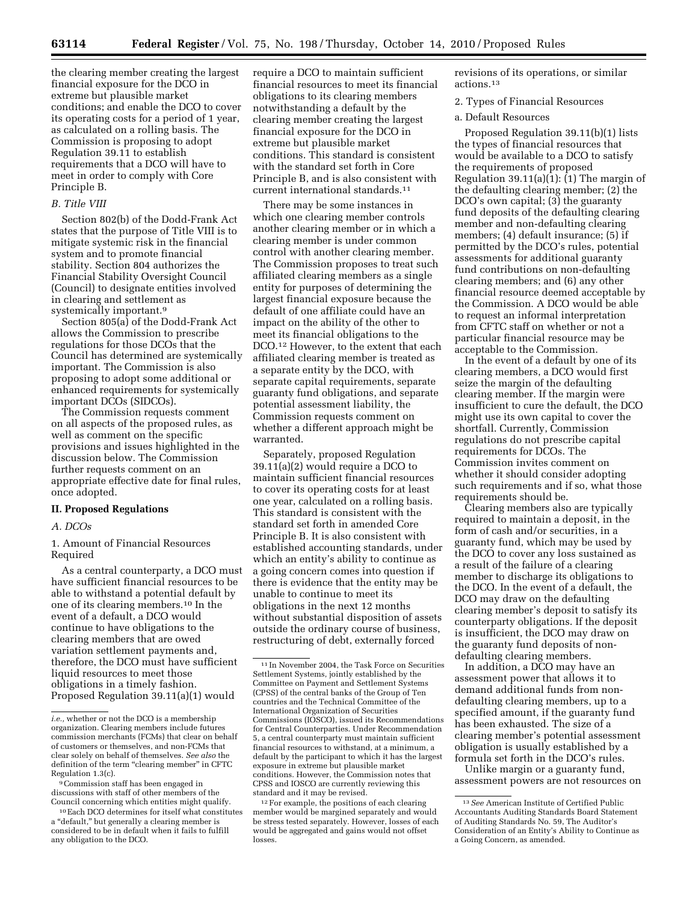the clearing member creating the largest financial exposure for the DCO in extreme but plausible market conditions; and enable the DCO to cover its operating costs for a period of 1 year, as calculated on a rolling basis. The Commission is proposing to adopt Regulation 39.11 to establish requirements that a DCO will have to meet in order to comply with Core Principle B.

#### *B. Title VIII*

Section 802(b) of the Dodd-Frank Act states that the purpose of Title VIII is to mitigate systemic risk in the financial system and to promote financial stability. Section 804 authorizes the Financial Stability Oversight Council (Council) to designate entities involved in clearing and settlement as systemically important.<sup>9</sup>

Section 805(a) of the Dodd-Frank Act allows the Commission to prescribe regulations for those DCOs that the Council has determined are systemically important. The Commission is also proposing to adopt some additional or enhanced requirements for systemically important DCOs (SIDCOs).

The Commission requests comment on all aspects of the proposed rules, as well as comment on the specific provisions and issues highlighted in the discussion below. The Commission further requests comment on an appropriate effective date for final rules, once adopted.

### **II. Proposed Regulations**

## *A. DCOs*

1. Amount of Financial Resources Required

As a central counterparty, a DCO must have sufficient financial resources to be able to withstand a potential default by one of its clearing members.10 In the event of a default, a DCO would continue to have obligations to the clearing members that are owed variation settlement payments and, therefore, the DCO must have sufficient liquid resources to meet those obligations in a timely fashion. Proposed Regulation 39.11(a)(1) would

require a DCO to maintain sufficient financial resources to meet its financial obligations to its clearing members notwithstanding a default by the clearing member creating the largest financial exposure for the DCO in extreme but plausible market conditions. This standard is consistent with the standard set forth in Core Principle B, and is also consistent with current international standards.11

There may be some instances in which one clearing member controls another clearing member or in which a clearing member is under common control with another clearing member. The Commission proposes to treat such affiliated clearing members as a single entity for purposes of determining the largest financial exposure because the default of one affiliate could have an impact on the ability of the other to meet its financial obligations to the DCO.12 However, to the extent that each affiliated clearing member is treated as a separate entity by the DCO, with separate capital requirements, separate guaranty fund obligations, and separate potential assessment liability, the Commission requests comment on whether a different approach might be warranted.

Separately, proposed Regulation 39.11(a)(2) would require a DCO to maintain sufficient financial resources to cover its operating costs for at least one year, calculated on a rolling basis. This standard is consistent with the standard set forth in amended Core Principle B. It is also consistent with established accounting standards, under which an entity's ability to continue as a going concern comes into question if there is evidence that the entity may be unable to continue to meet its obligations in the next 12 months without substantial disposition of assets outside the ordinary course of business, restructuring of debt, externally forced

12For example, the positions of each clearing member would be margined separately and would be stress tested separately. However, losses of each would be aggregated and gains would not offset losses.

revisions of its operations, or similar actions.13

#### 2. Types of Financial Resources

a. Default Resources

Proposed Regulation 39.11(b)(1) lists the types of financial resources that would be available to a DCO to satisfy the requirements of proposed Regulation 39.11(a)(1): (1) The margin of the defaulting clearing member; (2) the DCO's own capital; (3) the guaranty fund deposits of the defaulting clearing member and non-defaulting clearing members; (4) default insurance; (5) if permitted by the DCO's rules, potential assessments for additional guaranty fund contributions on non-defaulting clearing members; and (6) any other financial resource deemed acceptable by the Commission. A DCO would be able to request an informal interpretation from CFTC staff on whether or not a particular financial resource may be acceptable to the Commission.

In the event of a default by one of its clearing members, a DCO would first seize the margin of the defaulting clearing member. If the margin were insufficient to cure the default, the DCO might use its own capital to cover the shortfall. Currently, Commission regulations do not prescribe capital requirements for DCOs. The Commission invites comment on whether it should consider adopting such requirements and if so, what those requirements should be.

Clearing members also are typically required to maintain a deposit, in the form of cash and/or securities, in a guaranty fund, which may be used by the DCO to cover any loss sustained as a result of the failure of a clearing member to discharge its obligations to the DCO. In the event of a default, the DCO may draw on the defaulting clearing member's deposit to satisfy its counterparty obligations. If the deposit is insufficient, the DCO may draw on the guaranty fund deposits of nondefaulting clearing members.

In addition, a DCO may have an assessment power that allows it to demand additional funds from nondefaulting clearing members, up to a specified amount, if the guaranty fund has been exhausted. The size of a clearing member's potential assessment obligation is usually established by a formula set forth in the DCO's rules.

Unlike margin or a guaranty fund, assessment powers are not resources on

*i.e.,* whether or not the DCO is a membership organization. Clearing members include futures commission merchants (FCMs) that clear on behalf of customers or themselves, and non-FCMs that clear solely on behalf of themselves. *See also* the definition of the term "clearing member" in CFTC Regulation 1.3(c).

<sup>9</sup>Commission staff has been engaged in discussions with staff of other members of the Council concerning which entities might qualify.

<sup>10</sup>Each DCO determines for itself what constitutes a ''default,'' but generally a clearing member is considered to be in default when it fails to fulfill any obligation to the DCO.

<sup>11</sup> In November 2004, the Task Force on Securities Settlement Systems, jointly established by the Committee on Payment and Settlement Systems (CPSS) of the central banks of the Group of Ten countries and the Technical Committee of the International Organization of Securities Commissions (IOSCO), issued its Recommendations for Central Counterparties. Under Recommendation 5, a central counterparty must maintain sufficient financial resources to withstand, at a minimum, a default by the participant to which it has the largest exposure in extreme but plausible market conditions. However, the Commission notes that CPSS and IOSCO are currently reviewing this standard and it may be revised.

<sup>13</sup>*See* American Institute of Certified Public Accountants Auditing Standards Board Statement of Auditing Standards No. 59, The Auditor's Consideration of an Entity's Ability to Continue as a Going Concern, as amended.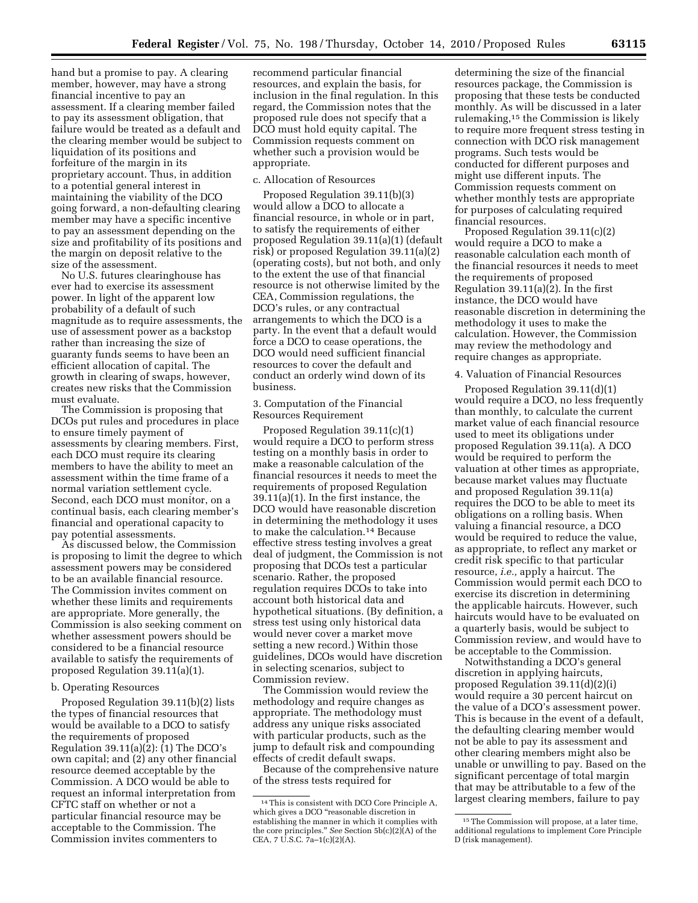hand but a promise to pay. A clearing member, however, may have a strong financial incentive to pay an assessment. If a clearing member failed to pay its assessment obligation, that failure would be treated as a default and the clearing member would be subject to liquidation of its positions and forfeiture of the margin in its proprietary account. Thus, in addition to a potential general interest in maintaining the viability of the DCO going forward, a non-defaulting clearing member may have a specific incentive to pay an assessment depending on the size and profitability of its positions and the margin on deposit relative to the size of the assessment.

No U.S. futures clearinghouse has ever had to exercise its assessment power. In light of the apparent low probability of a default of such magnitude as to require assessments, the use of assessment power as a backstop rather than increasing the size of guaranty funds seems to have been an efficient allocation of capital. The growth in clearing of swaps, however, creates new risks that the Commission must evaluate.

The Commission is proposing that DCOs put rules and procedures in place to ensure timely payment of assessments by clearing members. First, each DCO must require its clearing members to have the ability to meet an assessment within the time frame of a normal variation settlement cycle. Second, each DCO must monitor, on a continual basis, each clearing member's financial and operational capacity to pay potential assessments.

As discussed below, the Commission is proposing to limit the degree to which assessment powers may be considered to be an available financial resource. The Commission invites comment on whether these limits and requirements are appropriate. More generally, the Commission is also seeking comment on whether assessment powers should be considered to be a financial resource available to satisfy the requirements of proposed Regulation 39.11(a)(1).

# b. Operating Resources

Proposed Regulation 39.11(b)(2) lists the types of financial resources that would be available to a DCO to satisfy the requirements of proposed Regulation 39.11(a)(2): (1) The DCO's own capital; and (2) any other financial resource deemed acceptable by the Commission. A DCO would be able to request an informal interpretation from CFTC staff on whether or not a particular financial resource may be acceptable to the Commission. The Commission invites commenters to

recommend particular financial resources, and explain the basis, for inclusion in the final regulation. In this regard, the Commission notes that the proposed rule does not specify that a DCO must hold equity capital. The Commission requests comment on whether such a provision would be appropriate.

# c. Allocation of Resources

Proposed Regulation 39.11(b)(3) would allow a DCO to allocate a financial resource, in whole or in part, to satisfy the requirements of either proposed Regulation 39.11(a)(1) (default risk) or proposed Regulation 39.11(a)(2) (operating costs), but not both, and only to the extent the use of that financial resource is not otherwise limited by the CEA, Commission regulations, the DCO's rules, or any contractual arrangements to which the DCO is a party. In the event that a default would force a DCO to cease operations, the DCO would need sufficient financial resources to cover the default and conduct an orderly wind down of its business.

3. Computation of the Financial Resources Requirement

Proposed Regulation 39.11(c)(1) would require a DCO to perform stress testing on a monthly basis in order to make a reasonable calculation of the financial resources it needs to meet the requirements of proposed Regulation 39.11(a)(1). In the first instance, the DCO would have reasonable discretion in determining the methodology it uses to make the calculation.14 Because effective stress testing involves a great deal of judgment, the Commission is not proposing that DCOs test a particular scenario. Rather, the proposed regulation requires DCOs to take into account both historical data and hypothetical situations. (By definition, a stress test using only historical data would never cover a market move setting a new record.) Within those guidelines, DCOs would have discretion in selecting scenarios, subject to Commission review.

The Commission would review the methodology and require changes as appropriate. The methodology must address any unique risks associated with particular products, such as the jump to default risk and compounding effects of credit default swaps.

Because of the comprehensive nature of the stress tests required for

determining the size of the financial resources package, the Commission is proposing that these tests be conducted monthly. As will be discussed in a later rulemaking,15 the Commission is likely to require more frequent stress testing in connection with DCO risk management programs. Such tests would be conducted for different purposes and might use different inputs. The Commission requests comment on whether monthly tests are appropriate for purposes of calculating required financial resources.

Proposed Regulation 39.11(c)(2) would require a DCO to make a reasonable calculation each month of the financial resources it needs to meet the requirements of proposed Regulation 39.11(a)(2). In the first instance, the DCO would have reasonable discretion in determining the methodology it uses to make the calculation. However, the Commission may review the methodology and require changes as appropriate.

# 4. Valuation of Financial Resources

Proposed Regulation 39.11(d)(1) would require a DCO, no less frequently than monthly, to calculate the current market value of each financial resource used to meet its obligations under proposed Regulation 39.11(a). A DCO would be required to perform the valuation at other times as appropriate, because market values may fluctuate and proposed Regulation 39.11(a) requires the DCO to be able to meet its obligations on a rolling basis. When valuing a financial resource, a DCO would be required to reduce the value, as appropriate, to reflect any market or credit risk specific to that particular resource, *i.e.,* apply a haircut. The Commission would permit each DCO to exercise its discretion in determining the applicable haircuts. However, such haircuts would have to be evaluated on a quarterly basis, would be subject to Commission review, and would have to be acceptable to the Commission.

Notwithstanding a DCO's general discretion in applying haircuts, proposed Regulation 39.11(d)(2)(i) would require a 30 percent haircut on the value of a DCO's assessment power. This is because in the event of a default, the defaulting clearing member would not be able to pay its assessment and other clearing members might also be unable or unwilling to pay. Based on the significant percentage of total margin that may be attributable to a few of the largest clearing members, failure to pay

<sup>14</sup>This is consistent with DCO Core Principle A, which gives a DCO "reasonable discretion in establishing the manner in which it complies with the core principles.'' *See* Section 5b(c)(2)(A) of the CEA, 7 U.S.C. 7a–1(c)(2)(A).

<sup>15</sup>The Commission will propose, at a later time, additional regulations to implement Core Principle D (risk management).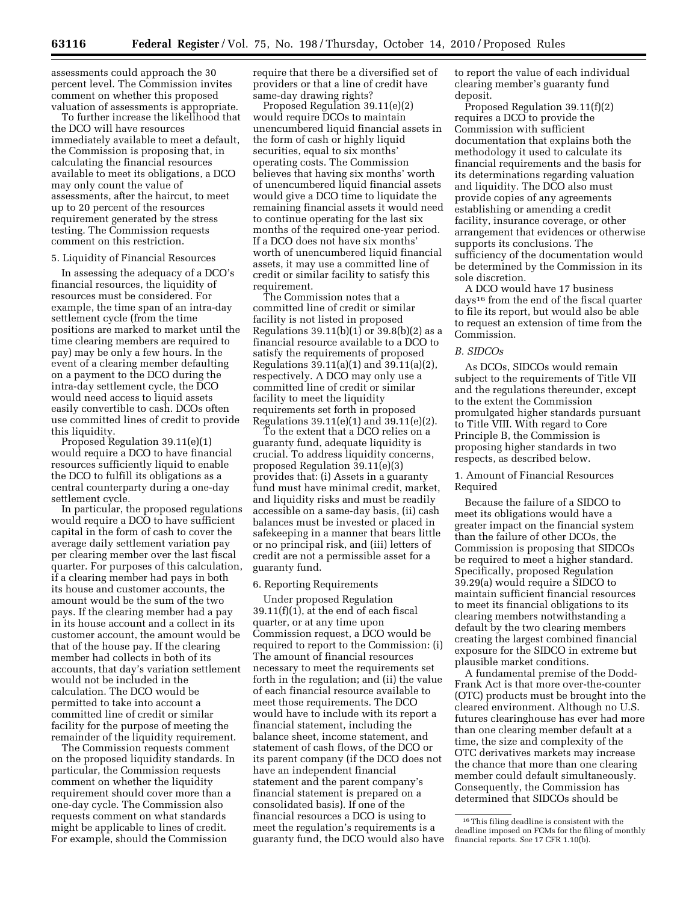assessments could approach the 30 percent level. The Commission invites comment on whether this proposed valuation of assessments is appropriate.

To further increase the likelihood that the DCO will have resources immediately available to meet a default, the Commission is proposing that, in calculating the financial resources available to meet its obligations, a DCO may only count the value of assessments, after the haircut, to meet up to 20 percent of the resources requirement generated by the stress testing. The Commission requests comment on this restriction.

### 5. Liquidity of Financial Resources

In assessing the adequacy of a DCO's financial resources, the liquidity of resources must be considered. For example, the time span of an intra-day settlement cycle (from the time positions are marked to market until the time clearing members are required to pay) may be only a few hours. In the event of a clearing member defaulting on a payment to the DCO during the intra-day settlement cycle, the DCO would need access to liquid assets easily convertible to cash. DCOs often use committed lines of credit to provide this liquidity.

Proposed Regulation 39.11(e)(1) would require a DCO to have financial resources sufficiently liquid to enable the DCO to fulfill its obligations as a central counterparty during a one-day settlement cycle.

In particular, the proposed regulations would require a DCO to have sufficient capital in the form of cash to cover the average daily settlement variation pay per clearing member over the last fiscal quarter. For purposes of this calculation, if a clearing member had pays in both its house and customer accounts, the amount would be the sum of the two pays. If the clearing member had a pay in its house account and a collect in its customer account, the amount would be that of the house pay. If the clearing member had collects in both of its accounts, that day's variation settlement would not be included in the calculation. The DCO would be permitted to take into account a committed line of credit or similar facility for the purpose of meeting the remainder of the liquidity requirement.

The Commission requests comment on the proposed liquidity standards. In particular, the Commission requests comment on whether the liquidity requirement should cover more than a one-day cycle. The Commission also requests comment on what standards might be applicable to lines of credit. For example, should the Commission

require that there be a diversified set of providers or that a line of credit have same-day drawing rights?

Proposed Regulation 39.11(e)(2) would require DCOs to maintain unencumbered liquid financial assets in the form of cash or highly liquid securities, equal to six months' operating costs. The Commission believes that having six months' worth of unencumbered liquid financial assets would give a DCO time to liquidate the remaining financial assets it would need to continue operating for the last six months of the required one-year period. If a DCO does not have six months' worth of unencumbered liquid financial assets, it may use a committed line of credit or similar facility to satisfy this requirement.

The Commission notes that a committed line of credit or similar facility is not listed in proposed Regulations  $39.11(b)(1)$  or  $39.8(b)(2)$  as a financial resource available to a DCO to satisfy the requirements of proposed Regulations 39.11(a)(1) and 39.11(a)(2), respectively. A DCO may only use a committed line of credit or similar facility to meet the liquidity requirements set forth in proposed Regulations 39.11(e)(1) and 39.11(e)(2).

To the extent that a DCO relies on a guaranty fund, adequate liquidity is crucial. To address liquidity concerns, proposed Regulation 39.11(e)(3) provides that: (i) Assets in a guaranty fund must have minimal credit, market, and liquidity risks and must be readily accessible on a same-day basis, (ii) cash balances must be invested or placed in safekeeping in a manner that bears little or no principal risk, and (iii) letters of credit are not a permissible asset for a guaranty fund.

#### 6. Reporting Requirements

Under proposed Regulation 39.11(f)(1), at the end of each fiscal quarter, or at any time upon Commission request, a DCO would be required to report to the Commission: (i) The amount of financial resources necessary to meet the requirements set forth in the regulation; and (ii) the value of each financial resource available to meet those requirements. The DCO would have to include with its report a financial statement, including the balance sheet, income statement, and statement of cash flows, of the DCO or its parent company (if the DCO does not have an independent financial statement and the parent company's financial statement is prepared on a consolidated basis). If one of the financial resources a DCO is using to meet the regulation's requirements is a guaranty fund, the DCO would also have to report the value of each individual clearing member's guaranty fund deposit.

Proposed Regulation 39.11(f)(2) requires a DCO to provide the Commission with sufficient documentation that explains both the methodology it used to calculate its financial requirements and the basis for its determinations regarding valuation and liquidity. The DCO also must provide copies of any agreements establishing or amending a credit facility, insurance coverage, or other arrangement that evidences or otherwise supports its conclusions. The sufficiency of the documentation would be determined by the Commission in its sole discretion.

A DCO would have 17 business days16 from the end of the fiscal quarter to file its report, but would also be able to request an extension of time from the Commission.

#### *B. SIDCOs*

As DCOs, SIDCOs would remain subject to the requirements of Title VII and the regulations thereunder, except to the extent the Commission promulgated higher standards pursuant to Title VIII. With regard to Core Principle B, the Commission is proposing higher standards in two respects, as described below.

# 1. Amount of Financial Resources Required

Because the failure of a SIDCO to meet its obligations would have a greater impact on the financial system than the failure of other DCOs, the Commission is proposing that SIDCOs be required to meet a higher standard. Specifically, proposed Regulation 39.29(a) would require a SIDCO to maintain sufficient financial resources to meet its financial obligations to its clearing members notwithstanding a default by the two clearing members creating the largest combined financial exposure for the SIDCO in extreme but plausible market conditions.

A fundamental premise of the Dodd-Frank Act is that more over-the-counter (OTC) products must be brought into the cleared environment. Although no U.S. futures clearinghouse has ever had more than one clearing member default at a time, the size and complexity of the OTC derivatives markets may increase the chance that more than one clearing member could default simultaneously. Consequently, the Commission has determined that SIDCOs should be

<sup>16</sup>This filing deadline is consistent with the deadline imposed on FCMs for the filing of monthly financial reports. *See* 17 CFR 1.10(b).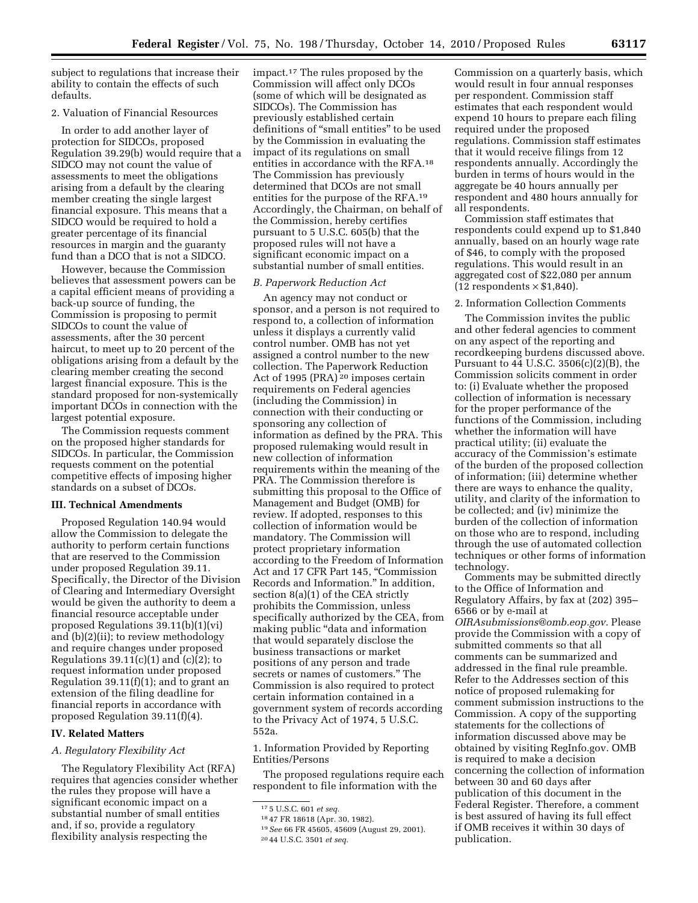subject to regulations that increase their ability to contain the effects of such defaults.

# 2. Valuation of Financial Resources

In order to add another layer of protection for SIDCOs, proposed Regulation 39.29(b) would require that a SIDCO may not count the value of assessments to meet the obligations arising from a default by the clearing member creating the single largest financial exposure. This means that a SIDCO would be required to hold a greater percentage of its financial resources in margin and the guaranty fund than a DCO that is not a SIDCO.

However, because the Commission believes that assessment powers can be a capital efficient means of providing a back-up source of funding, the Commission is proposing to permit SIDCOs to count the value of assessments, after the 30 percent haircut, to meet up to 20 percent of the obligations arising from a default by the clearing member creating the second largest financial exposure. This is the standard proposed for non-systemically important DCOs in connection with the largest potential exposure.

The Commission requests comment on the proposed higher standards for SIDCOs. In particular, the Commission requests comment on the potential competitive effects of imposing higher standards on a subset of DCOs.

#### **III. Technical Amendments**

Proposed Regulation 140.94 would allow the Commission to delegate the authority to perform certain functions that are reserved to the Commission under proposed Regulation 39.11. Specifically, the Director of the Division of Clearing and Intermediary Oversight would be given the authority to deem a financial resource acceptable under proposed Regulations 39.11(b)(1)(vi) and (b)(2)(ii); to review methodology and require changes under proposed Regulations  $39.11(c)(1)$  and  $(c)(2)$ ; to request information under proposed Regulation  $39.11(f)(1)$ ; and to grant an extension of the filing deadline for financial reports in accordance with proposed Regulation 39.11(f)(4).

## **IV. Related Matters**

#### *A. Regulatory Flexibility Act*

The Regulatory Flexibility Act (RFA) requires that agencies consider whether the rules they propose will have a significant economic impact on a substantial number of small entities and, if so, provide a regulatory flexibility analysis respecting the

impact.17 The rules proposed by the Commission will affect only DCOs (some of which will be designated as SIDCOs). The Commission has previously established certain definitions of ''small entities'' to be used by the Commission in evaluating the impact of its regulations on small entities in accordance with the RFA.18 The Commission has previously determined that DCOs are not small entities for the purpose of the RFA.19 Accordingly, the Chairman, on behalf of the Commission, hereby certifies pursuant to 5 U.S.C. 605(b) that the proposed rules will not have a significant economic impact on a substantial number of small entities.

### *B. Paperwork Reduction Act*

An agency may not conduct or sponsor, and a person is not required to respond to, a collection of information unless it displays a currently valid control number. OMB has not yet assigned a control number to the new collection. The Paperwork Reduction Act of 1995 (PRA)<sup>20</sup> imposes certain requirements on Federal agencies (including the Commission) in connection with their conducting or sponsoring any collection of information as defined by the PRA. This proposed rulemaking would result in new collection of information requirements within the meaning of the PRA. The Commission therefore is submitting this proposal to the Office of Management and Budget (OMB) for review. If adopted, responses to this collection of information would be mandatory. The Commission will protect proprietary information according to the Freedom of Information Act and 17 CFR Part 145, ''Commission Records and Information.'' In addition, section 8(a)(1) of the CEA strictly prohibits the Commission, unless specifically authorized by the CEA, from making public "data and information" that would separately disclose the business transactions or market positions of any person and trade secrets or names of customers.'' The Commission is also required to protect certain information contained in a government system of records according to the Privacy Act of 1974, 5 U.S.C. 552a.

1. Information Provided by Reporting Entities/Persons

The proposed regulations require each respondent to file information with the

18 47 FR 18618 (Apr. 30, 1982).

Commission on a quarterly basis, which would result in four annual responses per respondent. Commission staff estimates that each respondent would expend 10 hours to prepare each filing required under the proposed regulations. Commission staff estimates that it would receive filings from 12 respondents annually. Accordingly the burden in terms of hours would in the aggregate be 40 hours annually per respondent and 480 hours annually for all respondents.

Commission staff estimates that respondents could expend up to \$1,840 annually, based on an hourly wage rate of \$46, to comply with the proposed regulations. This would result in an aggregated cost of \$22,080 per annum (12 respondents  $\times$  \$1,840).

## 2. Information Collection Comments

The Commission invites the public and other federal agencies to comment on any aspect of the reporting and recordkeeping burdens discussed above. Pursuant to 44 U.S.C. 3506(c)(2)(B), the Commission solicits comment in order to: (i) Evaluate whether the proposed collection of information is necessary for the proper performance of the functions of the Commission, including whether the information will have practical utility; (ii) evaluate the accuracy of the Commission's estimate of the burden of the proposed collection of information; (iii) determine whether there are ways to enhance the quality, utility, and clarity of the information to be collected; and (iv) minimize the burden of the collection of information on those who are to respond, including through the use of automated collection techniques or other forms of information technology.

Comments may be submitted directly to the Office of Information and Regulatory Affairs, by fax at (202) 395– 6566 or by e-mail at *[OIRAsubmissions@omb.eop.gov.](mailto:OIRAsubmissions@omb.eop.gov)* Please provide the Commission with a copy of submitted comments so that all comments can be summarized and addressed in the final rule preamble. Refer to the Addresses section of this notice of proposed rulemaking for comment submission instructions to the Commission. A copy of the supporting statements for the collections of information discussed above may be obtained by visiting RegInfo.gov. OMB is required to make a decision concerning the collection of information between 30 and 60 days after publication of this document in the Federal Register. Therefore, a comment is best assured of having its full effect if OMB receives it within 30 days of publication.

<sup>17</sup> 5 U.S.C. 601 *et seq.* 

<sup>19</sup>*See* 66 FR 45605, 45609 (August 29, 2001).

<sup>20</sup> 44 U.S.C. 3501 *et seq.*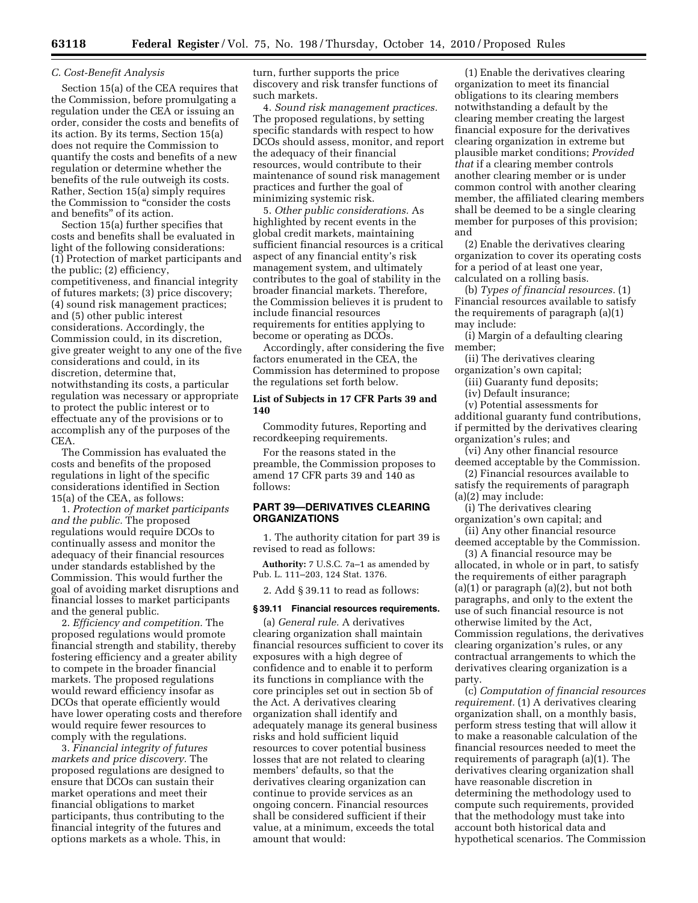## *C. Cost-Benefit Analysis*

Section 15(a) of the CEA requires that the Commission, before promulgating a regulation under the CEA or issuing an order, consider the costs and benefits of its action. By its terms, Section 15(a) does not require the Commission to quantify the costs and benefits of a new regulation or determine whether the benefits of the rule outweigh its costs. Rather, Section 15(a) simply requires the Commission to ''consider the costs and benefits'' of its action.

Section 15(a) further specifies that costs and benefits shall be evaluated in light of the following considerations: (1) Protection of market participants and the public; (2) efficiency, competitiveness, and financial integrity of futures markets; (3) price discovery; (4) sound risk management practices; and (5) other public interest considerations. Accordingly, the Commission could, in its discretion, give greater weight to any one of the five considerations and could, in its discretion, determine that, notwithstanding its costs, a particular regulation was necessary or appropriate to protect the public interest or to effectuate any of the provisions or to accomplish any of the purposes of the CEA.

The Commission has evaluated the costs and benefits of the proposed regulations in light of the specific considerations identified in Section 15(a) of the CEA, as follows:

1. *Protection of market participants and the public.* The proposed regulations would require DCOs to continually assess and monitor the adequacy of their financial resources under standards established by the Commission. This would further the goal of avoiding market disruptions and financial losses to market participants and the general public.

2. *Efficiency and competition.* The proposed regulations would promote financial strength and stability, thereby fostering efficiency and a greater ability to compete in the broader financial markets. The proposed regulations would reward efficiency insofar as DCOs that operate efficiently would have lower operating costs and therefore would require fewer resources to comply with the regulations.

3. *Financial integrity of futures markets and price discovery.* The proposed regulations are designed to ensure that DCOs can sustain their market operations and meet their financial obligations to market participants, thus contributing to the financial integrity of the futures and options markets as a whole. This, in

turn, further supports the price discovery and risk transfer functions of such markets.

4. *Sound risk management practices.*  The proposed regulations, by setting specific standards with respect to how DCOs should assess, monitor, and report the adequacy of their financial resources, would contribute to their maintenance of sound risk management practices and further the goal of minimizing systemic risk.

5. *Other public considerations.* As highlighted by recent events in the global credit markets, maintaining sufficient financial resources is a critical aspect of any financial entity's risk management system, and ultimately contributes to the goal of stability in the broader financial markets. Therefore, the Commission believes it is prudent to include financial resources requirements for entities applying to become or operating as DCOs.

Accordingly, after considering the five factors enumerated in the CEA, the Commission has determined to propose the regulations set forth below.

### **List of Subjects in 17 CFR Parts 39 and 140**

Commodity futures, Reporting and recordkeeping requirements.

For the reasons stated in the preamble, the Commission proposes to amend 17 CFR parts 39 and 140 as follows:

# **PART 39—DERIVATIVES CLEARING ORGANIZATIONS**

1. The authority citation for part 39 is revised to read as follows:

**Authority:** 7 U.S.C. 7a–1 as amended by Pub. L. 111–203, 124 Stat. 1376.

2. Add § 39.11 to read as follows:

#### **§ 39.11 Financial resources requirements.**

(a) *General rule.* A derivatives clearing organization shall maintain financial resources sufficient to cover its exposures with a high degree of confidence and to enable it to perform its functions in compliance with the core principles set out in section 5b of the Act. A derivatives clearing organization shall identify and adequately manage its general business risks and hold sufficient liquid resources to cover potential business losses that are not related to clearing members' defaults, so that the derivatives clearing organization can continue to provide services as an ongoing concern. Financial resources shall be considered sufficient if their value, at a minimum, exceeds the total amount that would:

(1) Enable the derivatives clearing organization to meet its financial obligations to its clearing members notwithstanding a default by the clearing member creating the largest financial exposure for the derivatives clearing organization in extreme but plausible market conditions; *Provided that* if a clearing member controls another clearing member or is under common control with another clearing member, the affiliated clearing members shall be deemed to be a single clearing member for purposes of this provision; and

(2) Enable the derivatives clearing organization to cover its operating costs for a period of at least one year, calculated on a rolling basis.

(b) *Types of financial resources.* (1) Financial resources available to satisfy the requirements of paragraph (a)(1) may include:

(i) Margin of a defaulting clearing member;

(ii) The derivatives clearing organization's own capital;

(iii) Guaranty fund deposits;

(iv) Default insurance;

(v) Potential assessments for additional guaranty fund contributions, if permitted by the derivatives clearing organization's rules; and

(vi) Any other financial resource deemed acceptable by the Commission.

(2) Financial resources available to satisfy the requirements of paragraph

(a)(2) may include:

(i) The derivatives clearing organization's own capital; and

(ii) Any other financial resource deemed acceptable by the Commission.

(3) A financial resource may be allocated, in whole or in part, to satisfy the requirements of either paragraph  $(a)(1)$  or paragraph  $(a)(2)$ , but not both paragraphs, and only to the extent the use of such financial resource is not otherwise limited by the Act, Commission regulations, the derivatives clearing organization's rules, or any contractual arrangements to which the derivatives clearing organization is a party.

(c) *Computation of financial resources requirement.* (1) A derivatives clearing organization shall, on a monthly basis, perform stress testing that will allow it to make a reasonable calculation of the financial resources needed to meet the requirements of paragraph (a)(1). The derivatives clearing organization shall have reasonable discretion in determining the methodology used to compute such requirements, provided that the methodology must take into account both historical data and hypothetical scenarios. The Commission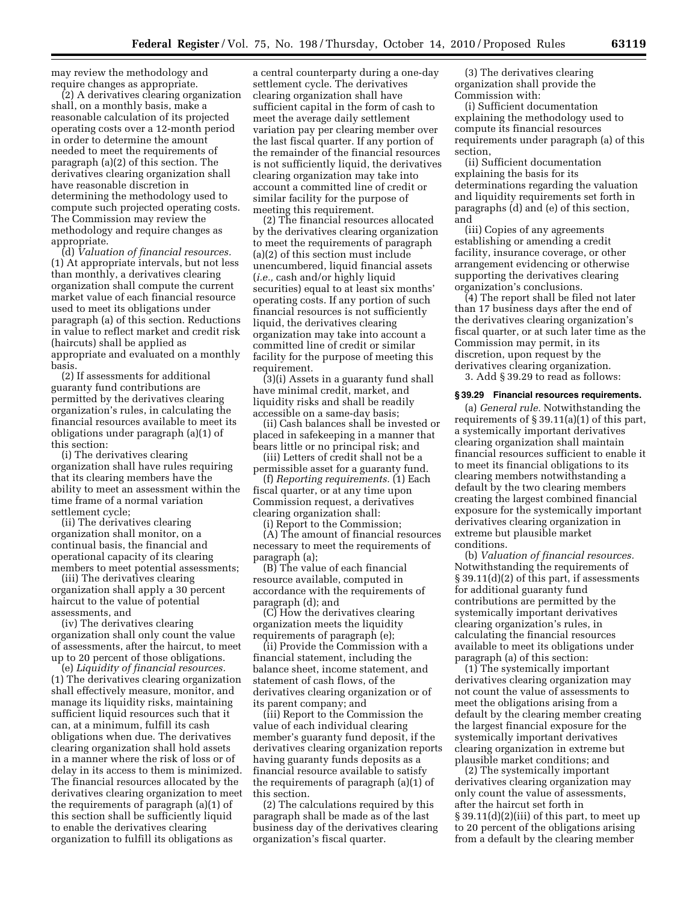may review the methodology and require changes as appropriate.

(2) A derivatives clearing organization shall, on a monthly basis, make a reasonable calculation of its projected operating costs over a 12-month period in order to determine the amount needed to meet the requirements of paragraph (a)(2) of this section. The derivatives clearing organization shall have reasonable discretion in determining the methodology used to compute such projected operating costs. The Commission may review the methodology and require changes as appropriate.

(d) *Valuation of financial resources.*  (1) At appropriate intervals, but not less than monthly, a derivatives clearing organization shall compute the current market value of each financial resource used to meet its obligations under paragraph (a) of this section. Reductions in value to reflect market and credit risk (haircuts) shall be applied as appropriate and evaluated on a monthly basis.

(2) If assessments for additional guaranty fund contributions are permitted by the derivatives clearing organization's rules, in calculating the financial resources available to meet its obligations under paragraph (a)(1) of this section:

(i) The derivatives clearing organization shall have rules requiring that its clearing members have the ability to meet an assessment within the time frame of a normal variation settlement cycle;

(ii) The derivatives clearing organization shall monitor, on a continual basis, the financial and operational capacity of its clearing members to meet potential assessments;

(iii) The derivatives clearing organization shall apply a 30 percent haircut to the value of potential assessments, and

(iv) The derivatives clearing organization shall only count the value of assessments, after the haircut, to meet up to 20 percent of those obligations.

(e) *Liquidity of financial resources.*  (1) The derivatives clearing organization shall effectively measure, monitor, and manage its liquidity risks, maintaining sufficient liquid resources such that it can, at a minimum, fulfill its cash obligations when due. The derivatives clearing organization shall hold assets in a manner where the risk of loss or of delay in its access to them is minimized. The financial resources allocated by the derivatives clearing organization to meet the requirements of paragraph (a)(1) of this section shall be sufficiently liquid to enable the derivatives clearing organization to fulfill its obligations as

a central counterparty during a one-day settlement cycle. The derivatives clearing organization shall have sufficient capital in the form of cash to meet the average daily settlement variation pay per clearing member over the last fiscal quarter. If any portion of the remainder of the financial resources is not sufficiently liquid, the derivatives clearing organization may take into account a committed line of credit or similar facility for the purpose of meeting this requirement.

(2) The financial resources allocated by the derivatives clearing organization to meet the requirements of paragraph (a)(2) of this section must include unencumbered, liquid financial assets (*i.e.,* cash and/or highly liquid securities) equal to at least six months' operating costs. If any portion of such financial resources is not sufficiently liquid, the derivatives clearing organization may take into account a committed line of credit or similar facility for the purpose of meeting this requirement.

(3)(i) Assets in a guaranty fund shall have minimal credit, market, and liquidity risks and shall be readily accessible on a same-day basis;

(ii) Cash balances shall be invested or placed in safekeeping in a manner that bears little or no principal risk; and

(iii) Letters of credit shall not be a permissible asset for a guaranty fund.

(f) *Reporting requirements.* (1) Each fiscal quarter, or at any time upon Commission request, a derivatives clearing organization shall:

(i) Report to the Commission;

(A) The amount of financial resources necessary to meet the requirements of paragraph (a);

(B) The value of each financial resource available, computed in accordance with the requirements of paragraph (d); and

(C) How the derivatives clearing organization meets the liquidity requirements of paragraph (e);

(ii) Provide the Commission with a financial statement, including the balance sheet, income statement, and statement of cash flows, of the derivatives clearing organization or of its parent company; and

(iii) Report to the Commission the value of each individual clearing member's guaranty fund deposit, if the derivatives clearing organization reports having guaranty funds deposits as a financial resource available to satisfy the requirements of paragraph (a)(1) of this section.

(2) The calculations required by this paragraph shall be made as of the last business day of the derivatives clearing organization's fiscal quarter.

(3) The derivatives clearing organization shall provide the Commission with:

(i) Sufficient documentation explaining the methodology used to compute its financial resources requirements under paragraph (a) of this section,

(ii) Sufficient documentation explaining the basis for its determinations regarding the valuation and liquidity requirements set forth in paragraphs (d) and (e) of this section, and

(iii) Copies of any agreements establishing or amending a credit facility, insurance coverage, or other arrangement evidencing or otherwise supporting the derivatives clearing organization's conclusions.

(4) The report shall be filed not later than 17 business days after the end of the derivatives clearing organization's fiscal quarter, or at such later time as the Commission may permit, in its discretion, upon request by the derivatives clearing organization.

3. Add § 39.29 to read as follows:

#### **§ 39.29 Financial resources requirements.**

(a) *General rule.* Notwithstanding the requirements of § 39.11(a)(1) of this part, a systemically important derivatives clearing organization shall maintain financial resources sufficient to enable it to meet its financial obligations to its clearing members notwithstanding a default by the two clearing members creating the largest combined financial exposure for the systemically important derivatives clearing organization in extreme but plausible market conditions.

(b) *Valuation of financial resources.*  Notwithstanding the requirements of § 39.11(d)(2) of this part, if assessments for additional guaranty fund contributions are permitted by the systemically important derivatives clearing organization's rules, in calculating the financial resources available to meet its obligations under paragraph (a) of this section:

(1) The systemically important derivatives clearing organization may not count the value of assessments to meet the obligations arising from a default by the clearing member creating the largest financial exposure for the systemically important derivatives clearing organization in extreme but plausible market conditions; and

(2) The systemically important derivatives clearing organization may only count the value of assessments, after the haircut set forth in § 39.11(d)(2)(iii) of this part, to meet up to 20 percent of the obligations arising from a default by the clearing member